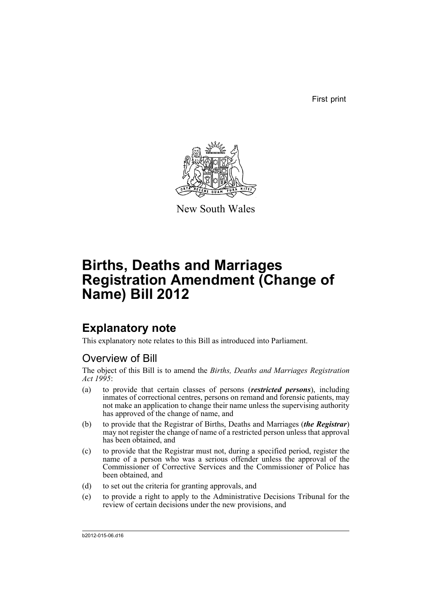First print



New South Wales

# **Births, Deaths and Marriages Registration Amendment (Change of Name) Bill 2012**

## **Explanatory note**

This explanatory note relates to this Bill as introduced into Parliament.

## Overview of Bill

The object of this Bill is to amend the *Births, Deaths and Marriages Registration Act 1995*:

- (a) to provide that certain classes of persons (*restricted persons*), including inmates of correctional centres, persons on remand and forensic patients, may not make an application to change their name unless the supervising authority has approved of the change of name, and
- (b) to provide that the Registrar of Births, Deaths and Marriages (*the Registrar*) may not register the change of name of a restricted person unless that approval has been obtained, and
- (c) to provide that the Registrar must not, during a specified period, register the name of a person who was a serious offender unless the approval of the Commissioner of Corrective Services and the Commissioner of Police has been obtained, and
- (d) to set out the criteria for granting approvals, and
- (e) to provide a right to apply to the Administrative Decisions Tribunal for the review of certain decisions under the new provisions, and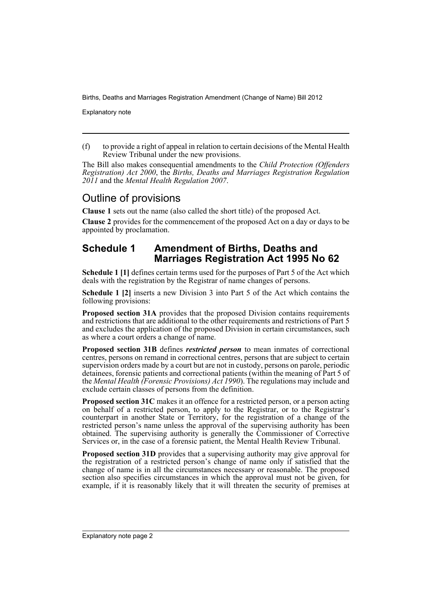Explanatory note

(f) to provide a right of appeal in relation to certain decisions of the Mental Health Review Tribunal under the new provisions.

The Bill also makes consequential amendments to the *Child Protection (Offenders Registration) Act 2000*, the *Births, Deaths and Marriages Registration Regulation 2011* and the *Mental Health Regulation 2007*.

## Outline of provisions

**Clause 1** sets out the name (also called the short title) of the proposed Act.

**Clause 2** provides for the commencement of the proposed Act on a day or days to be appointed by proclamation.

## **Schedule 1 Amendment of Births, Deaths and Marriages Registration Act 1995 No 62**

**Schedule 1 [1]** defines certain terms used for the purposes of Part 5 of the Act which deals with the registration by the Registrar of name changes of persons.

**Schedule 1 [2]** inserts a new Division 3 into Part 5 of the Act which contains the following provisions:

**Proposed section 31A** provides that the proposed Division contains requirements and restrictions that are additional to the other requirements and restrictions of Part 5 and excludes the application of the proposed Division in certain circumstances, such as where a court orders a change of name.

**Proposed section 31B** defines *restricted person* to mean inmates of correctional centres, persons on remand in correctional centres, persons that are subject to certain supervision orders made by a court but are not in custody, persons on parole, periodic detainees, forensic patients and correctional patients (within the meaning of Part 5 of the *Mental Health (Forensic Provisions) Act 1990*). The regulations may include and exclude certain classes of persons from the definition.

**Proposed section 31C** makes it an offence for a restricted person, or a person acting on behalf of a restricted person, to apply to the Registrar, or to the Registrar's counterpart in another State or Territory, for the registration of a change of the restricted person's name unless the approval of the supervising authority has been obtained. The supervising authority is generally the Commissioner of Corrective Services or, in the case of a forensic patient, the Mental Health Review Tribunal.

**Proposed section 31D** provides that a supervising authority may give approval for the registration of a restricted person's change of name only if satisfied that the change of name is in all the circumstances necessary or reasonable. The proposed section also specifies circumstances in which the approval must not be given, for example, if it is reasonably likely that it will threaten the security of premises at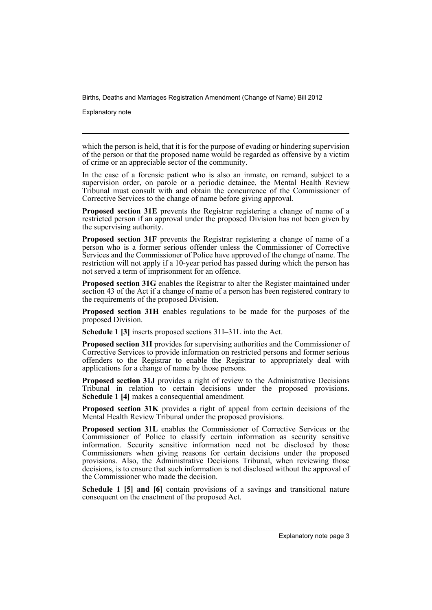Explanatory note

which the person is held, that it is for the purpose of evading or hindering supervision of the person or that the proposed name would be regarded as offensive by a victim of crime or an appreciable sector of the community.

In the case of a forensic patient who is also an inmate, on remand, subject to a supervision order, on parole or a periodic detainee, the Mental Health Review Tribunal must consult with and obtain the concurrence of the Commissioner of Corrective Services to the change of name before giving approval.

**Proposed section 31E** prevents the Registrar registering a change of name of a restricted person if an approval under the proposed Division has not been given by the supervising authority.

**Proposed section 31F** prevents the Registrar registering a change of name of a person who is a former serious offender unless the Commissioner of Corrective Services and the Commissioner of Police have approved of the change of name. The restriction will not apply if a 10-year period has passed during which the person has not served a term of imprisonment for an offence.

**Proposed section 31G** enables the Registrar to alter the Register maintained under section 43 of the Act if a change of name of a person has been registered contrary to the requirements of the proposed Division.

**Proposed section 31H** enables regulations to be made for the purposes of the proposed Division.

**Schedule 1 [3]** inserts proposed sections 31I–31L into the Act.

**Proposed section 31I** provides for supervising authorities and the Commissioner of Corrective Services to provide information on restricted persons and former serious offenders to the Registrar to enable the Registrar to appropriately deal with applications for a change of name by those persons.

**Proposed section 31J** provides a right of review to the Administrative Decisions Tribunal in relation to certain decisions under the proposed provisions. **Schedule 1 [4]** makes a consequential amendment.

**Proposed section 31K** provides a right of appeal from certain decisions of the Mental Health Review Tribunal under the proposed provisions.

**Proposed section 31L** enables the Commissioner of Corrective Services or the Commissioner of Police to classify certain information as security sensitive information. Security sensitive information need not be disclosed by those Commissioners when giving reasons for certain decisions under the proposed provisions. Also, the Administrative Decisions Tribunal, when reviewing those decisions, is to ensure that such information is not disclosed without the approval of the Commissioner who made the decision.

**Schedule 1 [5] and [6]** contain provisions of a savings and transitional nature consequent on the enactment of the proposed Act.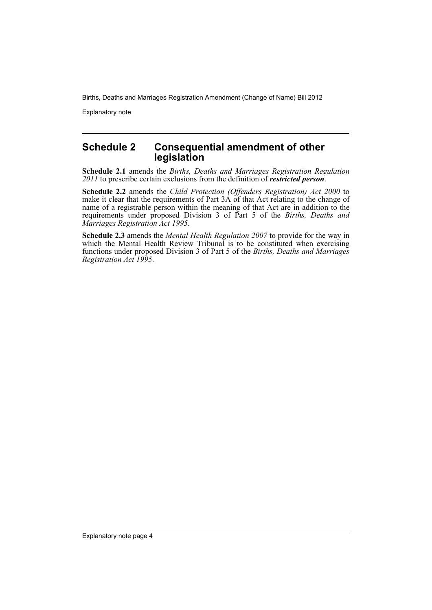Explanatory note

## **Schedule 2 Consequential amendment of other legislation**

**Schedule 2.1** amends the *Births, Deaths and Marriages Registration Regulation 2011* to prescribe certain exclusions from the definition of *restricted person*.

**Schedule 2.2** amends the *Child Protection (Offenders Registration) Act 2000* to make it clear that the requirements of Part 3A of that Act relating to the change of name of a registrable person within the meaning of that Act are in addition to the requirements under proposed Division 3 of Part 5 of the *Births, Deaths and Marriages Registration Act 1995*.

**Schedule 2.3** amends the *Mental Health Regulation 2007* to provide for the way in which the Mental Health Review Tribunal is to be constituted when exercising functions under proposed Division 3 of Part 5 of the *Births, Deaths and Marriages Registration Act 1995*.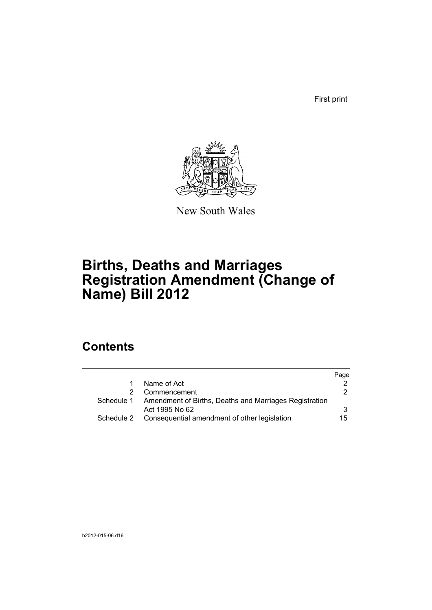First print



New South Wales

# **Births, Deaths and Marriages Registration Amendment (Change of Name) Bill 2012**

## **Contents**

|                                                        | Page |
|--------------------------------------------------------|------|
| Name of Act                                            |      |
| Commencement                                           | 2    |
| Amendment of Births, Deaths and Marriages Registration |      |
| Act 1995 No 62                                         | 3    |
| Consequential amendment of other legislation           | 15   |
|                                                        |      |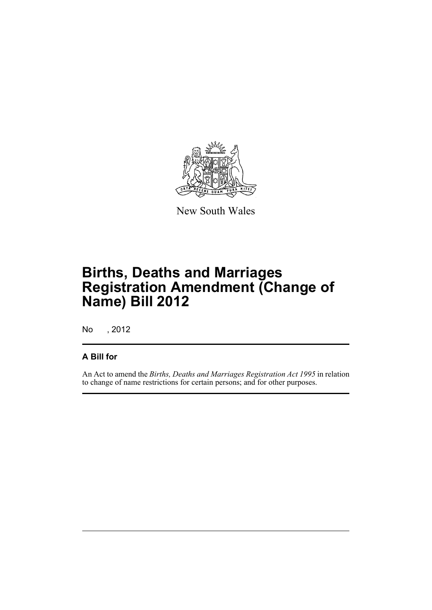

New South Wales

# **Births, Deaths and Marriages Registration Amendment (Change of Name) Bill 2012**

No , 2012

## **A Bill for**

An Act to amend the *Births, Deaths and Marriages Registration Act 1995* in relation to change of name restrictions for certain persons; and for other purposes.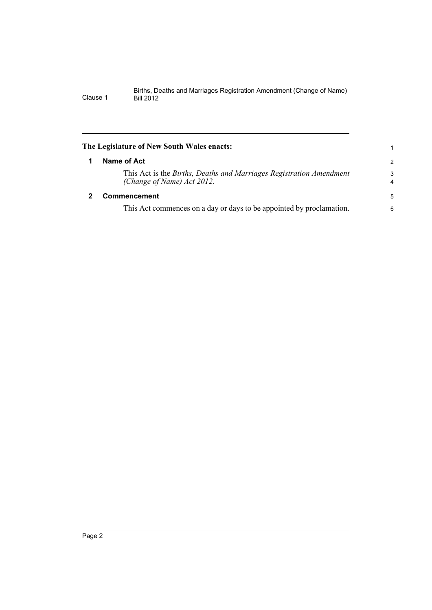<span id="page-7-1"></span><span id="page-7-0"></span>

| The Legislature of New South Wales enacts: |                                                                                                   |                     |  |
|--------------------------------------------|---------------------------------------------------------------------------------------------------|---------------------|--|
|                                            | Name of Act                                                                                       | 2                   |  |
|                                            | This Act is the Births, Deaths and Marriages Registration Amendment<br>(Change of Name) Act 2012. | 3<br>$\overline{4}$ |  |
|                                            | <b>Commencement</b>                                                                               | 5                   |  |
|                                            | This Act commences on a day or days to be appointed by proclamation.                              | 6                   |  |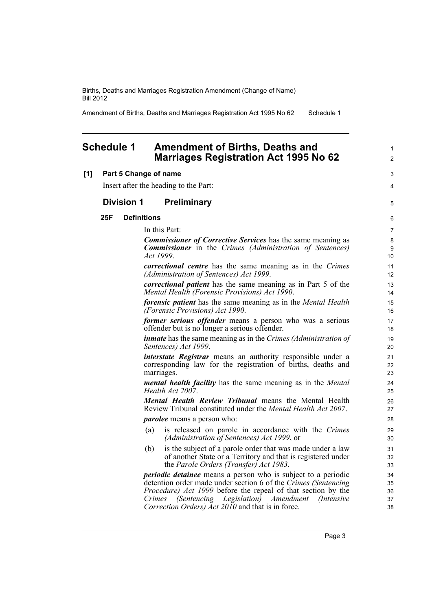Amendment of Births, Deaths and Marriages Registration Act 1995 No 62 Schedule 1

### <span id="page-8-0"></span>**Schedule 1 Amendment of Births, Deaths and Marriages Registration Act 1995 No 62**

#### **[1] Part 5 Change of name**

Insert after the heading to the Part:

### **Division 1 Preliminary**

#### **25F Definitions**

In this Part:

*Commissioner of Corrective Services* has the same meaning as *Commissioner* in the *Crimes (Administration of Sentences) Act 1999*.

*correctional centre* has the same meaning as in the *Crimes (Administration of Sentences) Act 1999*.

*correctional patient* has the same meaning as in Part 5 of the *Mental Health (Forensic Provisions) Act 1990*.

*forensic patient* has the same meaning as in the *Mental Health (Forensic Provisions) Act 1990*.

*former serious offender* means a person who was a serious offender but is no longer a serious offender.

*inmate* has the same meaning as in the *Crimes (Administration of Sentences) Act 1999*.

*interstate Registrar* means an authority responsible under a corresponding law for the registration of births, deaths and marriages.

*mental health facility* has the same meaning as in the *Mental Health Act 2007*.

*Mental Health Review Tribunal* means the Mental Health Review Tribunal constituted under the *Mental Health Act 2007*. *parolee* means a person who:

- (a) is released on parole in accordance with the *Crimes (Administration of Sentences) Act 1999*, or
- (b) is the subject of a parole order that was made under a law of another State or a Territory and that is registered under the *Parole Orders (Transfer) Act 1983*.

*periodic detainee* means a person who is subject to a periodic detention order made under section 6 of the *Crimes (Sentencing Procedure) Act 1999* before the repeal of that section by the *Crimes (Sentencing Legislation) Amendment (Intensive Correction Orders) Act 2010* and that is in force.

1  $\mathfrak{p}$ 

3 4

5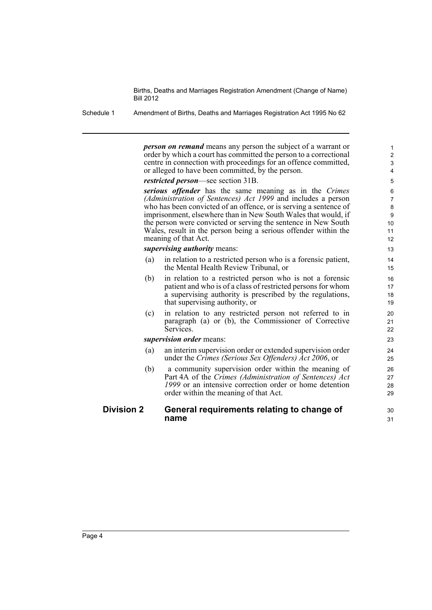Schedule 1 Amendment of Births, Deaths and Marriages Registration Act 1995 No 62

*person on remand* means any person the subject of a warrant or order by which a court has committed the person to a correctional centre in connection with proceedings for an offence committed, or alleged to have been committed, by the person.

30 31

*restricted person*—see section 31B.

*serious offender* has the same meaning as in the *Crimes (Administration of Sentences) Act 1999* and includes a person who has been convicted of an offence, or is serving a sentence of imprisonment, elsewhere than in New South Wales that would, if the person were convicted or serving the sentence in New South Wales, result in the person being a serious offender within the meaning of that Act.

*supervising authority* means:

- (a) in relation to a restricted person who is a forensic patient, the Mental Health Review Tribunal, or
- (b) in relation to a restricted person who is not a forensic patient and who is of a class of restricted persons for whom a supervising authority is prescribed by the regulations, that supervising authority, or
- (c) in relation to any restricted person not referred to in paragraph (a) or (b), the Commissioner of Corrective Services.

*supervision order* means:

- (a) an interim supervision order or extended supervision order under the *Crimes (Serious Sex Offenders) Act 2006*, or
- (b) a community supervision order within the meaning of Part 4A of the *Crimes (Administration of Sentences) Act 1999* or an intensive correction order or home detention order within the meaning of that Act.

#### **Division 2 General requirements relating to change of name**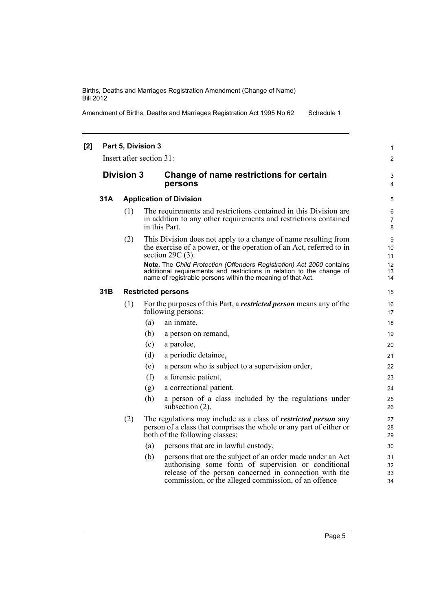Amendment of Births, Deaths and Marriages Registration Act 1995 No 62 Schedule 1

| [2] | Part 5, Division 3<br>Insert after section 31: |                                |                                                                                                                                                                                                                                            |                          |  |
|-----|------------------------------------------------|--------------------------------|--------------------------------------------------------------------------------------------------------------------------------------------------------------------------------------------------------------------------------------------|--------------------------|--|
|     |                                                | <b>Division 3</b>              | Change of name restrictions for certain<br>persons                                                                                                                                                                                         | 3<br>4                   |  |
|     | 31A                                            | <b>Application of Division</b> |                                                                                                                                                                                                                                            |                          |  |
|     |                                                | (1)                            | The requirements and restrictions contained in this Division are.<br>in addition to any other requirements and restrictions contained<br>in this Part.                                                                                     | 6<br>$\overline{7}$<br>8 |  |
|     |                                                | (2)                            | This Division does not apply to a change of name resulting from<br>the exercise of a power, or the operation of an Act, referred to in<br>section $29C(3)$ .                                                                               | 9<br>10<br>11            |  |
|     |                                                |                                | Note. The Child Protection (Offenders Registration) Act 2000 contains<br>additional requirements and restrictions in relation to the change of<br>name of registrable persons within the meaning of that Act.                              | 12<br>13<br>14           |  |
|     | 31B                                            |                                | <b>Restricted persons</b>                                                                                                                                                                                                                  | 15                       |  |
|     |                                                | (1)                            | For the purposes of this Part, a <i>restricted person</i> means any of the<br>following persons:                                                                                                                                           | 16<br>17                 |  |
|     |                                                |                                | (a)<br>an inmate,                                                                                                                                                                                                                          | 18                       |  |
|     |                                                |                                | (b)<br>a person on remand,                                                                                                                                                                                                                 | 19                       |  |
|     |                                                |                                | (c)<br>a parolee,                                                                                                                                                                                                                          | 20                       |  |
|     |                                                |                                | a periodic detainee,<br>(d)                                                                                                                                                                                                                | 21                       |  |
|     |                                                |                                | a person who is subject to a supervision order,<br>(e)                                                                                                                                                                                     | 22                       |  |
|     |                                                |                                | (f)<br>a forensic patient,                                                                                                                                                                                                                 | 23                       |  |
|     |                                                |                                | a correctional patient,<br>(g)                                                                                                                                                                                                             | 24                       |  |
|     |                                                |                                | (h)<br>a person of a class included by the regulations under<br>subsection (2).                                                                                                                                                            | 25<br>26                 |  |
|     | (2)                                            |                                | The regulations may include as a class of <i>restricted person</i> any<br>person of a class that comprises the whole or any part of either or<br>both of the following classes:                                                            | 27<br>28<br>29           |  |
|     |                                                |                                | persons that are in lawful custody,<br>(a)                                                                                                                                                                                                 | 30                       |  |
|     |                                                |                                | persons that are the subject of an order made under an Act<br>(b)<br>authorising some form of supervision or conditional<br>release of the person concerned in connection with the<br>commission, or the alleged commission, of an offence | 31<br>32<br>33<br>34     |  |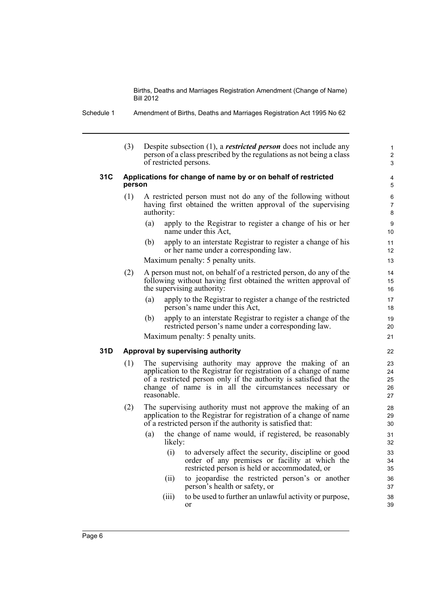| Schedule 1 |  | Amendment of Births, Deaths and Marriages Registration Act 1995 No 62 |
|------------|--|-----------------------------------------------------------------------|

(3) Despite subsection (1), a *restricted person* does not include any person of a class prescribed by the regulations as not being a class of restricted persons.

1 2 3

#### **31C Applications for change of name by or on behalf of restricted person**

- (1) A restricted person must not do any of the following without having first obtained the written approval of the supervising authority:
	- (a) apply to the Registrar to register a change of his or her name under this Act,
	- (b) apply to an interstate Registrar to register a change of his or her name under a corresponding law.

Maximum penalty: 5 penalty units.

- (2) A person must not, on behalf of a restricted person, do any of the following without having first obtained the written approval of the supervising authority:
	- (a) apply to the Registrar to register a change of the restricted person's name under this Act,
	- (b) apply to an interstate Registrar to register a change of the restricted person's name under a corresponding law.

Maximum penalty: 5 penalty units.

#### **31D Approval by supervising authority**

- (1) The supervising authority may approve the making of an application to the Registrar for registration of a change of name of a restricted person only if the authority is satisfied that the change of name is in all the circumstances necessary or reasonable.
- (2) The supervising authority must not approve the making of an application to the Registrar for registration of a change of name of a restricted person if the authority is satisfied that:
	- (a) the change of name would, if registered, be reasonably likely:
		- (i) to adversely affect the security, discipline or good order of any premises or facility at which the restricted person is held or accommodated, or
		- (ii) to jeopardise the restricted person's or another person's health or safety, or
		- (iii) to be used to further an unlawful activity or purpose, or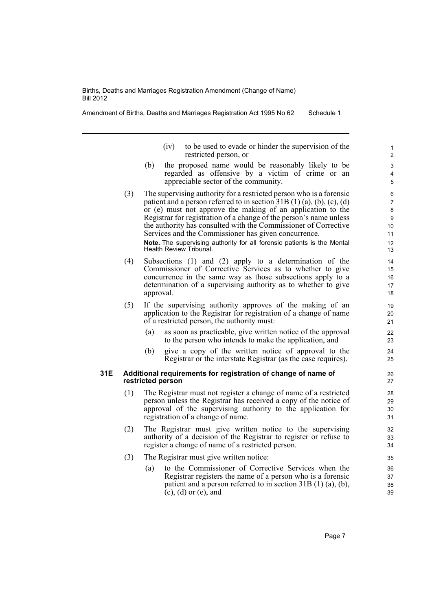Health Review Tribunal.

Amendment of Births, Deaths and Marriages Registration Act 1995 No 62 Schedule 1

- (iv) to be used to evade or hinder the supervision of the restricted person, or
- (b) the proposed name would be reasonably likely to be regarded as offensive by a victim of crime or an appreciable sector of the community.
- (3) The supervising authority for a restricted person who is a forensic patient and a person referred to in section  $31B(1)(a)$ , (b), (c), (d) or (e) must not approve the making of an application to the Registrar for registration of a change of the person's name unless the authority has consulted with the Commissioner of Corrective Services and the Commissioner has given concurrence. **Note.** The supervising authority for all forensic patients is the Mental
- (4) Subsections (1) and (2) apply to a determination of the Commissioner of Corrective Services as to whether to give concurrence in the same way as those subsections apply to a determination of a supervising authority as to whether to give approval.
- (5) If the supervising authority approves of the making of an application to the Registrar for registration of a change of name of a restricted person, the authority must:
	- (a) as soon as practicable, give written notice of the approval to the person who intends to make the application, and
	- (b) give a copy of the written notice of approval to the Registrar or the interstate Registrar (as the case requires).

#### **31E Additional requirements for registration of change of name of restricted person**

- (1) The Registrar must not register a change of name of a restricted person unless the Registrar has received a copy of the notice of approval of the supervising authority to the application for registration of a change of name.
- (2) The Registrar must give written notice to the supervising authority of a decision of the Registrar to register or refuse to register a change of name of a restricted person.
- (3) The Registrar must give written notice:
	- (a) to the Commissioner of Corrective Services when the Registrar registers the name of a person who is a forensic patient and a person referred to in section 31B (1) (a), (b), (c), (d) or (e), and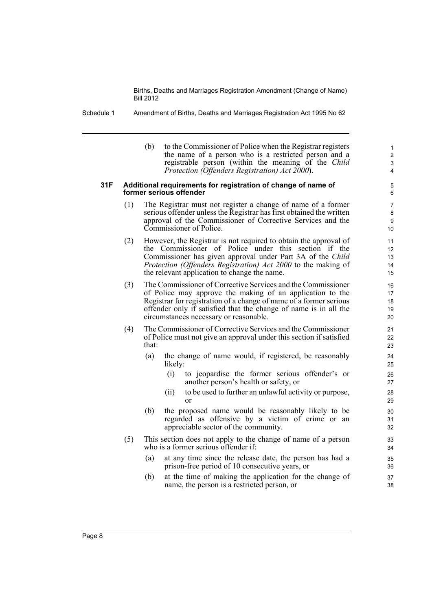- Schedule 1 Amendment of Births, Deaths and Marriages Registration Act 1995 No 62
	- (b) to the Commissioner of Police when the Registrar registers the name of a person who is a restricted person and a registrable person (within the meaning of the *Child Protection (Offenders Registration) Act 2000*).

#### **31F Additional requirements for registration of change of name of former serious offender**

- (1) The Registrar must not register a change of name of a former serious offender unless the Registrar has first obtained the written approval of the Commissioner of Corrective Services and the Commissioner of Police.
- (2) However, the Registrar is not required to obtain the approval of the Commissioner of Police under this section if the Commissioner has given approval under Part 3A of the *Child Protection (Offenders Registration) Act 2000* to the making of the relevant application to change the name.
- (3) The Commissioner of Corrective Services and the Commissioner of Police may approve the making of an application to the Registrar for registration of a change of name of a former serious offender only if satisfied that the change of name is in all the circumstances necessary or reasonable.
- (4) The Commissioner of Corrective Services and the Commissioner of Police must not give an approval under this section if satisfied that:
	- (a) the change of name would, if registered, be reasonably likely:
		- (i) to jeopardise the former serious offender's or another person's health or safety, or
		- (ii) to be used to further an unlawful activity or purpose, or
	- (b) the proposed name would be reasonably likely to be regarded as offensive by a victim of crime or an appreciable sector of the community.
- (5) This section does not apply to the change of name of a person who is a former serious offender if:
	- (a) at any time since the release date, the person has had a prison-free period of 10 consecutive years, or
	- (b) at the time of making the application for the change of name, the person is a restricted person, or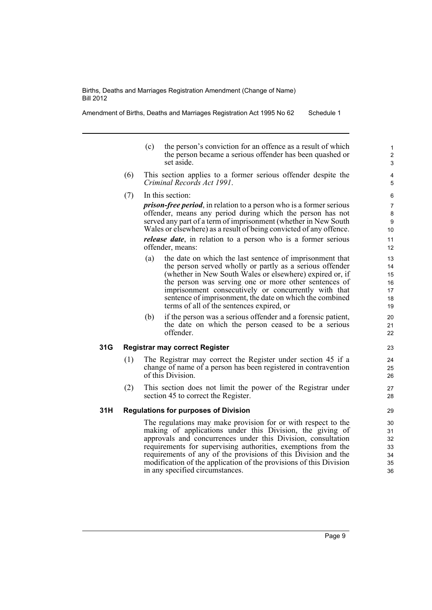Amendment of Births, Deaths and Marriages Registration Act 1995 No 62 Schedule 1

- (c) the person's conviction for an offence as a result of which the person became a serious offender has been quashed or set aside.
- (6) This section applies to a former serious offender despite the *Criminal Records Act 1991*.
- (7) In this section:

*prison-free period*, in relation to a person who is a former serious offender, means any period during which the person has not served any part of a term of imprisonment (whether in New South Wales or elsewhere) as a result of being convicted of any offence. *release date*, in relation to a person who is a former serious offender, means:

- (a) the date on which the last sentence of imprisonment that the person served wholly or partly as a serious offender (whether in New South Wales or elsewhere) expired or, if the person was serving one or more other sentences of imprisonment consecutively or concurrently with that sentence of imprisonment, the date on which the combined terms of all of the sentences expired, or
- (b) if the person was a serious offender and a forensic patient, the date on which the person ceased to be a serious offender.

#### **31G Registrar may correct Register**

- (1) The Registrar may correct the Register under section 45 if a change of name of a person has been registered in contravention of this Division.
- (2) This section does not limit the power of the Registrar under section 45 to correct the Register.

#### **31H Regulations for purposes of Division**

The regulations may make provision for or with respect to the making of applications under this Division, the giving of approvals and concurrences under this Division, consultation requirements for supervising authorities, exemptions from the requirements of any of the provisions of this Division and the modification of the application of the provisions of this Division in any specified circumstances.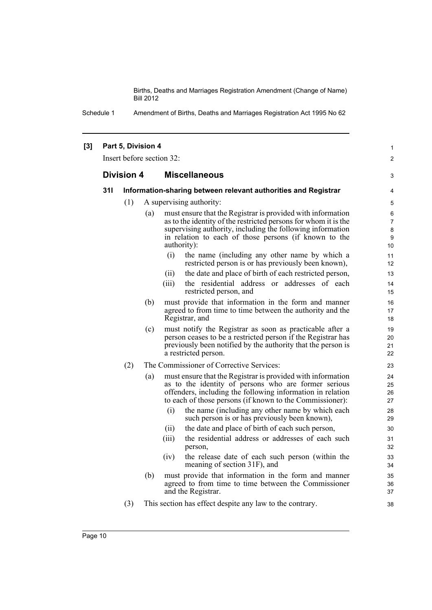Schedule 1 Amendment of Births, Deaths and Marriages Registration Act 1995 No 62

#### **[3] Part 5, Division 4**

Insert before section 32:

#### **Division 4 Miscellaneous**

#### **31I Information-sharing between relevant authorities and Registrar**

- (1) A supervising authority:
	- (a) must ensure that the Registrar is provided with information as to the identity of the restricted persons for whom it is the supervising authority, including the following information in relation to each of those persons (if known to the authority):
		- (i) the name (including any other name by which a restricted person is or has previously been known),

1  $\mathfrak{p}$ 

3

- (ii) the date and place of birth of each restricted person,
- (iii) the residential address or addresses of each restricted person, and
- (b) must provide that information in the form and manner agreed to from time to time between the authority and the Registrar, and
- (c) must notify the Registrar as soon as practicable after a person ceases to be a restricted person if the Registrar has previously been notified by the authority that the person is a restricted person.
- (2) The Commissioner of Corrective Services:
	- (a) must ensure that the Registrar is provided with information as to the identity of persons who are former serious offenders, including the following information in relation to each of those persons (if known to the Commissioner):
		- (i) the name (including any other name by which each such person is or has previously been known),
		- (ii) the date and place of birth of each such person,
		- (iii) the residential address or addresses of each such person,
		- (iv) the release date of each such person (within the meaning of section 31F), and
	- (b) must provide that information in the form and manner agreed to from time to time between the Commissioner and the Registrar.
- (3) This section has effect despite any law to the contrary.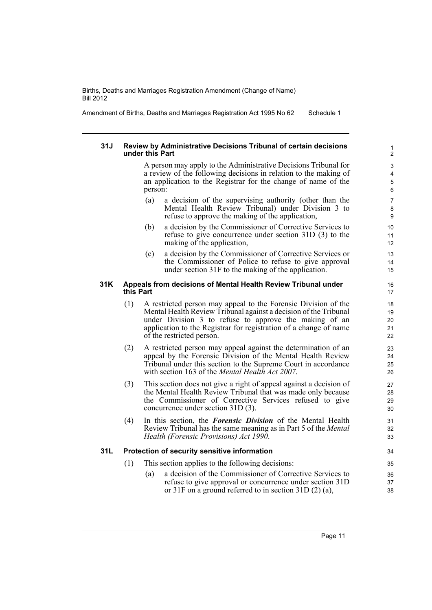Amendment of Births, Deaths and Marriages Registration Act 1995 No 62 Schedule 1

#### **31J Review by Administrative Decisions Tribunal of certain decisions under this Part**

A person may apply to the Administrative Decisions Tribunal for a review of the following decisions in relation to the making of an application to the Registrar for the change of name of the person:

- (a) a decision of the supervising authority (other than the Mental Health Review Tribunal) under Division 3 to refuse to approve the making of the application,
- (b) a decision by the Commissioner of Corrective Services to refuse to give concurrence under section 31D (3) to the making of the application,
- (c) a decision by the Commissioner of Corrective Services or the Commissioner of Police to refuse to give approval under section 31F to the making of the application.

#### **31K Appeals from decisions of Mental Health Review Tribunal under this Part**

- (1) A restricted person may appeal to the Forensic Division of the Mental Health Review Tribunal against a decision of the Tribunal under Division 3 to refuse to approve the making of an application to the Registrar for registration of a change of name of the restricted person.
- (2) A restricted person may appeal against the determination of an appeal by the Forensic Division of the Mental Health Review Tribunal under this section to the Supreme Court in accordance with section 163 of the *Mental Health Act 2007*.
- (3) This section does not give a right of appeal against a decision of the Mental Health Review Tribunal that was made only because the Commissioner of Corrective Services refused to give concurrence under section 31D (3).
- (4) In this section, the *Forensic Division* of the Mental Health Review Tribunal has the same meaning as in Part 5 of the *Mental Health (Forensic Provisions) Act 1990*.

#### **31L Protection of security sensitive information**

- (1) This section applies to the following decisions:
	- (a) a decision of the Commissioner of Corrective Services to refuse to give approval or concurrence under section 31D or 31F on a ground referred to in section 31D (2) (a),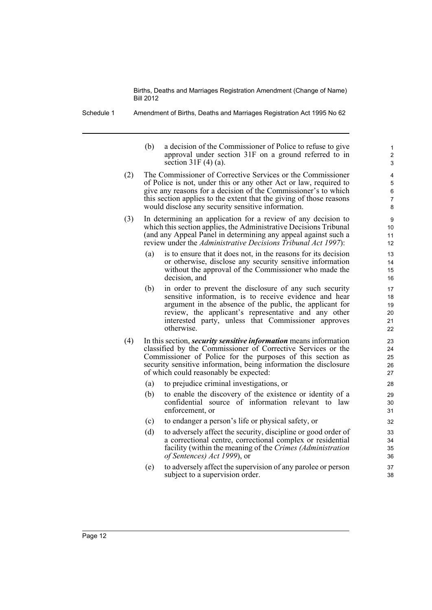Schedule 1 Amendment of Births, Deaths and Marriages Registration Act 1995 No 62

(b) a decision of the Commissioner of Police to refuse to give approval under section 31F on a ground referred to in section  $31F(4)(a)$ .

- (2) The Commissioner of Corrective Services or the Commissioner of Police is not, under this or any other Act or law, required to give any reasons for a decision of the Commissioner's to which this section applies to the extent that the giving of those reasons would disclose any security sensitive information.
- (3) In determining an application for a review of any decision to which this section applies, the Administrative Decisions Tribunal (and any Appeal Panel in determining any appeal against such a review under the *Administrative Decisions Tribunal Act 1997*):
	- (a) is to ensure that it does not, in the reasons for its decision or otherwise, disclose any security sensitive information without the approval of the Commissioner who made the decision, and
	- (b) in order to prevent the disclosure of any such security sensitive information, is to receive evidence and hear argument in the absence of the public, the applicant for review, the applicant's representative and any other interested party, unless that Commissioner approves otherwise.
- (4) In this section, *security sensitive information* means information classified by the Commissioner of Corrective Services or the Commissioner of Police for the purposes of this section as security sensitive information, being information the disclosure of which could reasonably be expected:
	- (a) to prejudice criminal investigations, or
	- (b) to enable the discovery of the existence or identity of a confidential source of information relevant to law enforcement, or
	- (c) to endanger a person's life or physical safety, or
	- (d) to adversely affect the security, discipline or good order of a correctional centre, correctional complex or residential facility (within the meaning of the *Crimes (Administration of Sentences) Act 1999*), or
	- (e) to adversely affect the supervision of any parolee or person subject to a supervision order.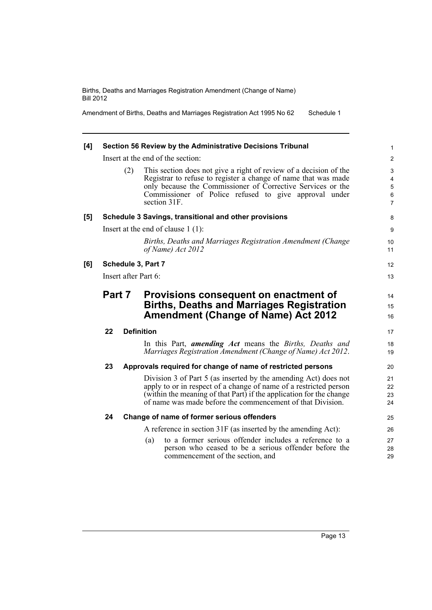Amendment of Births, Deaths and Marriages Registration Act 1995 No 62 Schedule 1

| [4] | Section 56 Review by the Administrative Decisions Tribunal |     |                                                                                                                                                                                                                                                                             |                                                  |  |
|-----|------------------------------------------------------------|-----|-----------------------------------------------------------------------------------------------------------------------------------------------------------------------------------------------------------------------------------------------------------------------------|--------------------------------------------------|--|
|     | Insert at the end of the section:                          |     |                                                                                                                                                                                                                                                                             |                                                  |  |
|     |                                                            | (2) | This section does not give a right of review of a decision of the<br>Registrar to refuse to register a change of name that was made<br>only because the Commissioner of Corrective Services or the<br>Commissioner of Police refused to give approval under<br>section 31F. | 3<br>4<br>$\mathbf 5$<br>$\,6$<br>$\overline{7}$ |  |
| [5] | Schedule 3 Savings, transitional and other provisions      |     |                                                                                                                                                                                                                                                                             |                                                  |  |
|     |                                                            |     | Insert at the end of clause $1(1)$ :                                                                                                                                                                                                                                        | 9                                                |  |
|     |                                                            |     | Births, Deaths and Marriages Registration Amendment (Change<br>of Name) Act 2012                                                                                                                                                                                            | 10<br>11                                         |  |
| [6] | Schedule 3, Part 7                                         |     |                                                                                                                                                                                                                                                                             |                                                  |  |
|     | Insert after Part 6:                                       |     |                                                                                                                                                                                                                                                                             |                                                  |  |
|     | Part 7                                                     |     | Provisions consequent on enactment of<br><b>Births, Deaths and Marriages Registration</b><br><b>Amendment (Change of Name) Act 2012</b>                                                                                                                                     | 14<br>15<br>16                                   |  |
|     | 22                                                         |     | <b>Definition</b>                                                                                                                                                                                                                                                           | 17                                               |  |
|     |                                                            |     | In this Part, <i>amending Act</i> means the <i>Births</i> , <i>Deaths and</i><br>Marriages Registration Amendment (Change of Name) Act 2012.                                                                                                                                | 18<br>19                                         |  |
|     | 23                                                         |     | Approvals required for change of name of restricted persons                                                                                                                                                                                                                 | 20                                               |  |
|     |                                                            |     | Division 3 of Part 5 (as inserted by the amending Act) does not<br>apply to or in respect of a change of name of a restricted person<br>(within the meaning of that Part) if the application for the change<br>of name was made before the commencement of that Division.   | 21<br>22<br>23<br>24                             |  |
|     | 24                                                         |     | Change of name of former serious offenders                                                                                                                                                                                                                                  | 25                                               |  |
|     |                                                            |     | A reference in section 31F (as inserted by the amending Act):                                                                                                                                                                                                               | 26                                               |  |
|     |                                                            |     | to a former serious offender includes a reference to a<br>(a)<br>person who ceased to be a serious offender before the<br>commencement of the section, and                                                                                                                  | 27<br>28<br>29                                   |  |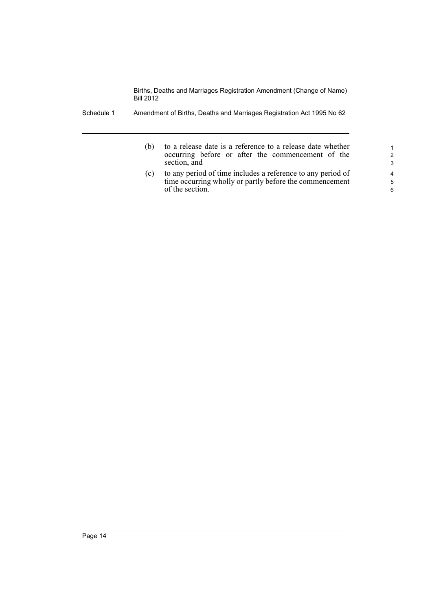- Schedule 1 Amendment of Births, Deaths and Marriages Registration Act 1995 No 62
	- (b) to a release date is a reference to a release date whether occurring before or after the commencement of the section, and
	- (c) to any period of time includes a reference to any period of time occurring wholly or partly before the commencement of the section.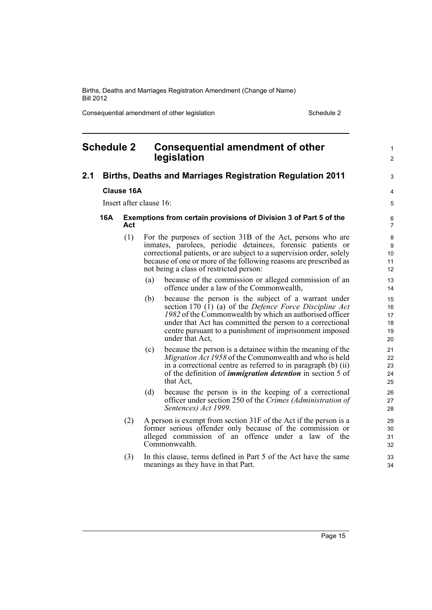Consequential amendment of other legislation Schedule 2 Schedule 2

<span id="page-20-0"></span>

| <b>Schedule 2</b> |                                                                                        |                         |     | <b>Consequential amendment of other</b><br>legislation                                                                                                                                                                                                                                                                       | 1<br>$\overline{c}$              |
|-------------------|----------------------------------------------------------------------------------------|-------------------------|-----|------------------------------------------------------------------------------------------------------------------------------------------------------------------------------------------------------------------------------------------------------------------------------------------------------------------------------|----------------------------------|
| 2.1               |                                                                                        |                         |     | <b>Births, Deaths and Marriages Registration Regulation 2011</b>                                                                                                                                                                                                                                                             | 3                                |
|                   |                                                                                        | <b>Clause 16A</b>       |     |                                                                                                                                                                                                                                                                                                                              | 4                                |
|                   |                                                                                        | Insert after clause 16: |     |                                                                                                                                                                                                                                                                                                                              | 5                                |
|                   | 16A<br><b>Exemptions from certain provisions of Division 3 of Part 5 of the</b><br>Act |                         |     |                                                                                                                                                                                                                                                                                                                              |                                  |
|                   | (1)                                                                                    |                         |     | For the purposes of section 31B of the Act, persons who are<br>inmates, parolees, periodic detainees, forensic patients or<br>correctional patients, or are subject to a supervision order, solely<br>because of one or more of the following reasons are prescribed as<br>not being a class of restricted person:           | 8<br>9<br>10<br>11<br>12         |
|                   |                                                                                        |                         | (a) | because of the commission or alleged commission of an<br>offence under a law of the Commonwealth,                                                                                                                                                                                                                            | 13<br>14                         |
|                   |                                                                                        |                         | (b) | because the person is the subject of a warrant under<br>section 170 (1) (a) of the <i>Defence Force Discipline Act</i><br>1982 of the Commonwealth by which an authorised officer<br>under that Act has committed the person to a correctional<br>centre pursuant to a punishment of imprisonment imposed<br>under that Act, | 15<br>16<br>17<br>18<br>19<br>20 |
|                   |                                                                                        |                         | (c) | because the person is a detainee within the meaning of the<br>Migration Act 1958 of the Commonwealth and who is held<br>in a correctional centre as referred to in paragraph (b) (ii)<br>of the definition of <i>immigration detention</i> in section 5 of<br>that Act.                                                      | 21<br>22<br>23<br>24<br>25       |
|                   |                                                                                        |                         | (d) | because the person is in the keeping of a correctional<br>officer under section 250 of the Crimes (Administration of<br>Sentences) Act 1999.                                                                                                                                                                                 | 26<br>27<br>28                   |
|                   |                                                                                        | (2)                     |     | A person is exempt from section 31F of the Act if the person is a<br>former serious offender only because of the commission or<br>alleged commission of an offence under a law of the<br>Commonwealth.                                                                                                                       | 29<br>30<br>31<br>32             |
|                   |                                                                                        | (3)                     |     | In this clause, terms defined in Part 5 of the Act have the same<br>meanings as they have in that Part.                                                                                                                                                                                                                      | 33<br>34                         |